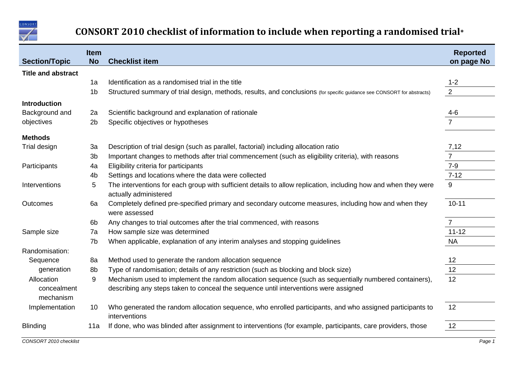

## **CONSORT 2010 checklist of information to include when reporting a randomised trial\***

| <b>Section/Topic</b>      | <b>Item</b><br><b>No</b> | <b>Checklist item</b>                                                                                                                    | <b>Reported</b><br>on page No |
|---------------------------|--------------------------|------------------------------------------------------------------------------------------------------------------------------------------|-------------------------------|
| <b>Title and abstract</b> |                          |                                                                                                                                          |                               |
|                           | 1a                       | Identification as a randomised trial in the title                                                                                        | $1 - 2$                       |
|                           | 1 <sub>b</sub>           | Structured summary of trial design, methods, results, and conclusions (for specific guidance see CONSORT for abstracts)                  | $\overline{2}$                |
| <b>Introduction</b>       |                          |                                                                                                                                          |                               |
| Background and            | 2a                       | Scientific background and explanation of rationale                                                                                       | $4-6$                         |
| objectives                | 2 <sub>b</sub>           | Specific objectives or hypotheses                                                                                                        |                               |
| <b>Methods</b>            |                          |                                                                                                                                          |                               |
| Trial design              | 3a                       | Description of trial design (such as parallel, factorial) including allocation ratio                                                     | 7,12                          |
|                           | 3 <sub>b</sub>           | Important changes to methods after trial commencement (such as eligibility criteria), with reasons                                       | $\overline{7}$                |
| Participants              | 4a                       | Eligibility criteria for participants                                                                                                    | $7 - 9$                       |
|                           | 4 <sub>b</sub>           | Settings and locations where the data were collected                                                                                     | $7 - 12$                      |
| Interventions             | 5                        | The interventions for each group with sufficient details to allow replication, including how and when they were<br>actually administered | 9                             |
| Outcomes                  | 6a                       | Completely defined pre-specified primary and secondary outcome measures, including how and when they<br>were assessed                    | $10 - 11$                     |
|                           | 6 <sub>b</sub>           | Any changes to trial outcomes after the trial commenced, with reasons                                                                    | $\overline{7}$                |
| Sample size               | 7a                       | How sample size was determined                                                                                                           | $11 - 12$                     |
|                           | 7b                       | When applicable, explanation of any interim analyses and stopping guidelines                                                             | <b>NA</b>                     |
| Randomisation:            |                          |                                                                                                                                          |                               |
| Sequence                  | 8a                       | Method used to generate the random allocation sequence                                                                                   | 12                            |
| generation                | 8b                       | Type of randomisation; details of any restriction (such as blocking and block size)                                                      | 12                            |
| Allocation                | 9                        | Mechanism used to implement the random allocation sequence (such as sequentially numbered containers),                                   | 12                            |
| concealment<br>mechanism  |                          | describing any steps taken to conceal the sequence until interventions were assigned                                                     |                               |
| Implementation            | 10                       | Who generated the random allocation sequence, who enrolled participants, and who assigned participants to<br>interventions               | 12                            |
| <b>Blinding</b>           | 11a                      | If done, who was blinded after assignment to interventions (for example, participants, care providers, those                             | 12                            |